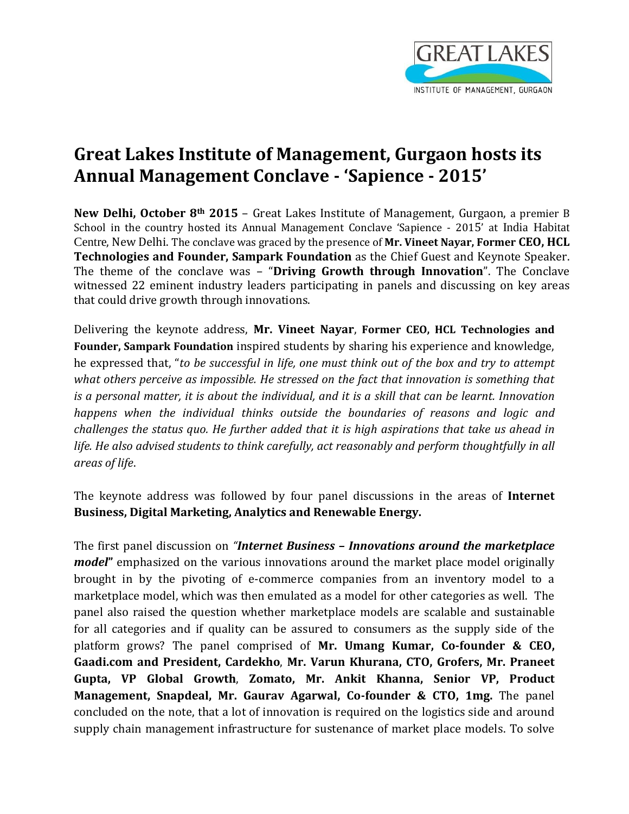

## **Great Lakes Institute of Management, Gurgaon hosts its Annual Management Conclave - 'Sapience - 2015'**

**New Delhi, October 8th 2015** – Great Lakes Institute of Management, Gurgaon, a premier B School in the country hosted its Annual Management Conclave 'Sapience - 2015' at India Habitat Centre, New Delhi. The conclave was graced by the presence of **Mr. Vineet Nayar, Former CEO, HCL Technologies and Founder, Sampark Foundation** as the Chief Guest and Keynote Speaker. The theme of the conclave was – "**Driving Growth through Innovation**". The Conclave witnessed 22 eminent industry leaders participating in panels and discussing on key areas that could drive growth through innovations.

Delivering the keynote address, **Mr. Vineet Nayar**, **Former CEO, HCL Technologies and Founder, Sampark Foundation** inspired students by sharing his experience and knowledge, he expressed that, "*to be successful in life, one must think out of the box and try to attempt what others perceive as impossible. He stressed on the fact that innovation is something that is a personal matter, it is about the individual, and it is a skill that can be learnt. Innovation happens when the individual thinks outside the boundaries of reasons and logic and challenges the status quo. He further added that it is high aspirations that take us ahead in*  life. He also advised students to think carefully, act reasonably and perform thoughtfully in all *areas of life*.

The keynote address was followed by four panel discussions in the areas of **Internet Business, Digital Marketing, Analytics and Renewable Energy.** 

The first panel discussion on *"Internet Business – Innovations around the marketplace model***"** emphasized on the various innovations around the market place model originally brought in by the pivoting of e-commerce companies from an inventory model to a marketplace model, which was then emulated as a model for other categories as well. The panel also raised the question whether marketplace models are scalable and sustainable for all categories and if quality can be assured to consumers as the supply side of the platform grows? The panel comprised of **Mr. Umang Kumar, Co-founder & CEO, Gaadi.com and President, Cardekho**, **Mr. Varun Khurana, CTO, Grofers, Mr. Praneet Gupta, VP Global Growth**, **Zomato, Mr. Ankit Khanna, Senior VP, Product Management, Snapdeal, Mr. Gaurav Agarwal, Co-founder & CTO, 1mg.** The panel concluded on the note, that a lot of innovation is required on the logistics side and around supply chain management infrastructure for sustenance of market place models. To solve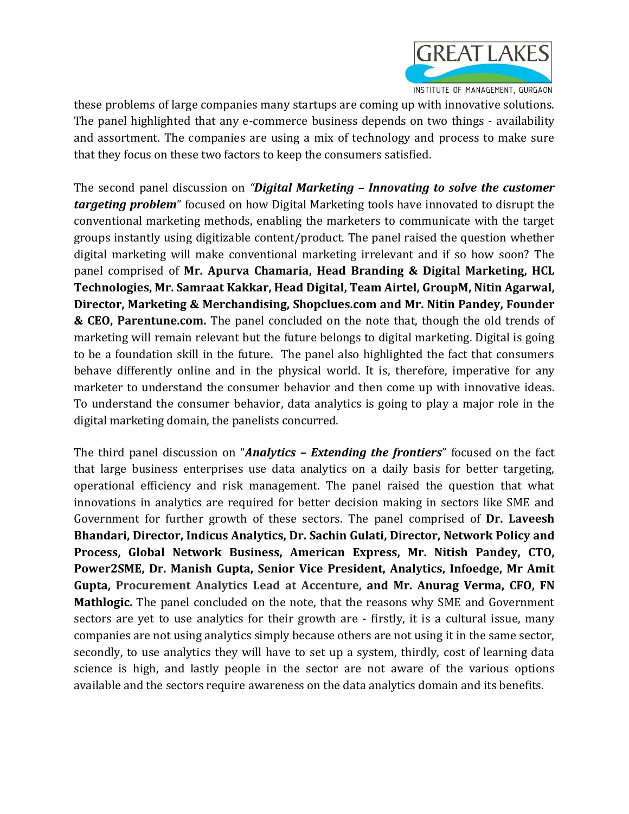

these problems of large companies many startups are coming up with innovative solutions. The panel highlighted that any e-commerce business depends on two things - availability and assortment. The companies are using a mix of technology and process to make sure that they focus on these two factors to keep the consumers satisfied.

The second panel discussion on *"Digital Marketing – Innovating to solve the customer targeting problem*" focused on how Digital Marketing tools have innovated to disrupt the conventional marketing methods, enabling the marketers to communicate with the target groups instantly using digitizable content/product. The panel raised the question whether digital marketing will make conventional marketing irrelevant and if so how soon? The panel comprised of **Mr. Apurva Chamaria, Head Branding & Digital Marketing, HCL Technologies, Mr. Samraat Kakkar, Head Digital, Team Airtel, GroupM, Nitin Agarwal, Director, Marketing & Merchandising, Shopclues.com and Mr. Nitin Pandey, Founder & CEO, Parentune.com.** The panel concluded on the note that, though the old trends of marketing will remain relevant but the future belongs to digital marketing. Digital is going to be a foundation skill in the future. The panel also highlighted the fact that consumers behave differently online and in the physical world. It is, therefore, imperative for any marketer to understand the consumer behavior and then come up with innovative ideas. To understand the consumer behavior, data analytics is going to play a major role in the digital marketing domain, the panelists concurred.

The third panel discussion on "*Analytics – Extending the frontiers*" focused on the fact that large business enterprises use data analytics on a daily basis for better targeting, operational efficiency and risk management. The panel raised the question that what innovations in analytics are required for better decision making in sectors like SME and Government for further growth of these sectors. The panel comprised of **Dr. Laveesh Bhandari, Director, Indicus Analytics, Dr. Sachin Gulati, Director, Network Policy and Process, Global Network Business, American Express, Mr. Nitish Pandey, CTO, Power2SME, Dr. Manish Gupta, Senior Vice President, Analytics, Infoedge, Mr Amit Gupta, Procurement Analytics Lead at Accenture, and Mr. Anurag Verma, CFO, FN Mathlogic.** The panel concluded on the note, that the reasons why SME and Government sectors are yet to use analytics for their growth are - firstly, it is a cultural issue, many companies are not using analytics simply because others are not using it in the same sector, secondly, to use analytics they will have to set up a system, thirdly, cost of learning data science is high, and lastly people in the sector are not aware of the various options available and the sectors require awareness on the data analytics domain and its benefits.